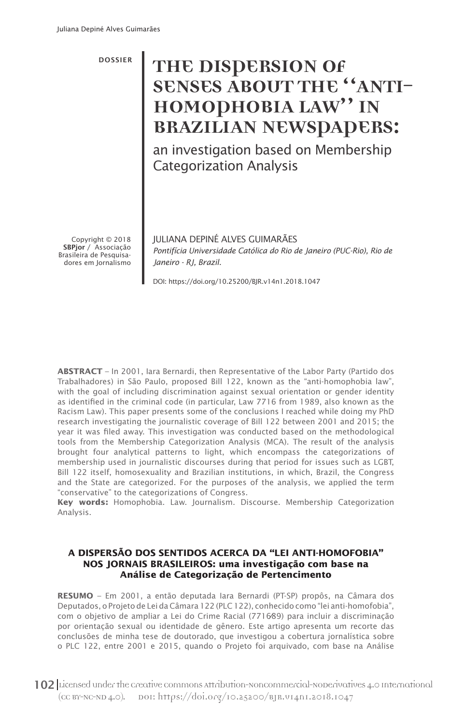# DOSSIER **THE DISPERSION OF SENSES ABOUT THE "ANTI-HOMOPHOBIA LAW" IN BRAZILIAN NEWSPAPERS:**

an investigation based on Membership Categorization Analysis

Copyright © 2018 SBPjor / Associação Brasileira de Pesquisadores em Jornalismo JULIANA DEPINÉ ALVES GUIMARÃES *Pontifícia Universidade Católica do Rio de Janeiro (PUC-Rio), Rio de Janeiro - RJ, Brazil.*

DOI: https://doi.org/10.25200/BJR.v14n1.2018.1047

**ABSTRACT** – In 2001, Iara Bernardi, then Representative of the Labor Party (Partido dos Trabalhadores) in São Paulo, proposed Bill 122, known as the "anti-homophobia law", with the goal of including discrimination against sexual orientation or gender identity as identified in the criminal code (in particular, Law 7716 from 1989, also known as the Racism Law). This paper presents some of the conclusions I reached while doing my PhD research investigating the journalistic coverage of Bill 122 between 2001 and 2015; the year it was filed away. This investigation was conducted based on the methodological tools from the Membership Categorization Analysis (MCA). The result of the analysis brought four analytical patterns to light, which encompass the categorizations of membership used in journalistic discourses during that period for issues such as LGBT, Bill 122 itself, homosexuality and Brazilian institutions, in which, Brazil, the Congress and the State are categorized. For the purposes of the analysis, we applied the term "conservative" to the categorizations of Congress.

**Key words:** Homophobia. Law. Journalism. Discourse. Membership Categorization Analysis.

## **A DISPERSÃO DOS SENTIDOS ACERCA DA "LEI ANTI-HOMOFOBIA" NOS JORNAIS BRASILEIROS: uma investigação com base na Análise de Categorização de Pertencimento**

**RESUMO** – Em 2001, a então deputada Iara Bernardi (PT-SP) propôs, na Câmara dos Deputados, o Projeto de Lei da Câmara 122 (PLC 122), conhecido como "lei anti-homofobia", com o objetivo de ampliar a Lei do Crime Racial (7716⁄89) para incluir a discriminação por orientação sexual ou identidade de gênero. Este artigo apresenta um recorte das conclusões de minha tese de doutorado, que investigou a cobertura jornalística sobre o PLC 122, entre 2001 e 2015, quando o Projeto foi arquivado, com base na Análise

102 Licensed under the creative commons attribution-Noncommercial-NoDerivatives 4.0 International (CC BY-NC-ND 4.0). DOI: https://doi.org/10.25200/BJR.v14n1.2018.1047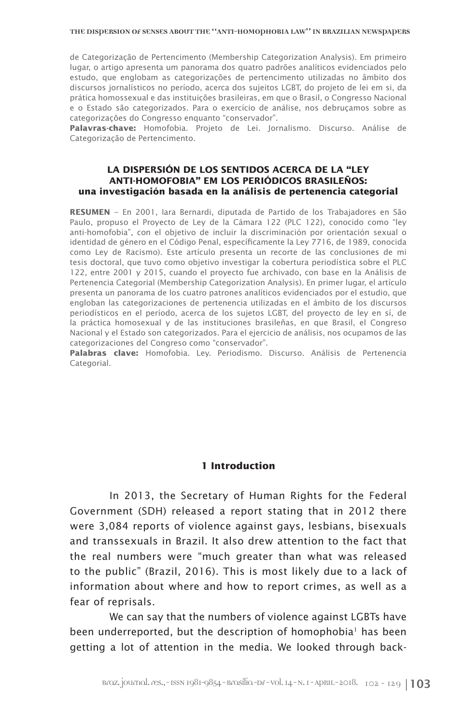de Categorização de Pertencimento (Membership Categorization Analysis). Em primeiro lugar, o artigo apresenta um panorama dos quatro padrões analíticos evidenciados pelo estudo, que englobam as categorizações de pertencimento utilizadas no âmbito dos discursos jornalísticos no período, acerca dos sujeitos LGBT, do projeto de lei em si, da prática homossexual e das instituições brasileiras, em que o Brasil, o Congresso Nacional e o Estado são categorizados. Para o exercício de análise, nos debruçamos sobre as categorizações do Congresso enquanto "conservador".

**Palavras-chave:** Homofobia. Projeto de Lei. Jornalismo. Discurso. Análise de Categorização de Pertencimento.

## **LA DISPERSIÓN DE LOS SENTIDOS ACERCA DE LA "LEY ANTI-HOMOFOBIA" EM LOS PERIÓDICOS BRASILEÑOS: una investigación basada en la análisis de pertenencia categorial**

**RESUMEN** – En 2001, Iara Bernardi, diputada de Partido de los Trabajadores en São Paulo, propuso el Proyecto de Ley de la Cámara 122 (PLC 122), conocido como "ley anti-homofobia", con el objetivo de incluir la discriminación por orientación sexual o identidad de género en el Código Penal, específicamente la Ley 7716, de 1989, conocida como Ley de Racismo). Este artículo presenta un recorte de las conclusiones de mi tesis doctoral, que tuvo como objetivo investigar la cobertura periodística sobre el PLC 122, entre 2001 y 2015, cuando el proyecto fue archivado, con base en la Análisis de Pertenencia Categorial (Membership Categorization Analysis). En primer lugar, el artículo presenta un panorama de los cuatro patrones analíticos evidenciados por el estudio, que engloban las categorizaciones de pertenencia utilizadas en el ámbito de los discursos periodísticos en el período, acerca de los sujetos LGBT, del proyecto de ley en sí, de la práctica homosexual y de las instituciones brasileñas, en que Brasil, el Congreso Nacional y el Estado son categorizados. Para el ejercicio de análisis, nos ocupamos de las categorizaciones del Congreso como "conservador".

**Palabras clave:** Homofobia. Ley. Periodismo. Discurso. Análisis de Pertenencia Categorial.

## **1 Introduction**

In 2013, the Secretary of Human Rights for the Federal Government (SDH) released a report stating that in 2012 there were 3,084 reports of violence against gays, lesbians, bisexuals and transsexuals in Brazil. It also drew attention to the fact that the real numbers were "much greater than what was released to the public" (Brazil, 2016). This is most likely due to a lack of information about where and how to report crimes, as well as a fear of reprisals.

We can say that the numbers of violence against LGBTs have been underreported, but the description of homophobia<sup>1</sup> has been getting a lot of attention in the media. We looked through back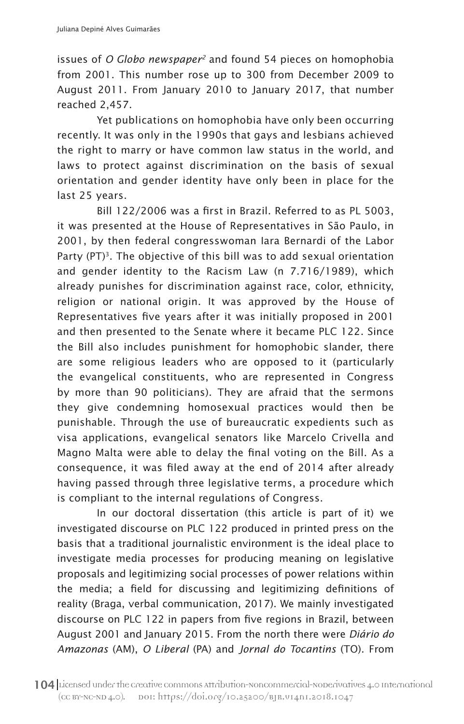issues of *O Globo newspaper2* and found 54 pieces on homophobia from 2001. This number rose up to 300 from December 2009 to August 2011. From January 2010 to January 2017, that number reached 2,457.

Yet publications on homophobia have only been occurring recently. It was only in the 1990s that gays and lesbians achieved the right to marry or have common law status in the world, and laws to protect against discrimination on the basis of sexual orientation and gender identity have only been in place for the last 25 years.

Bill 122/2006 was a first in Brazil. Referred to as PL 5003, it was presented at the House of Representatives in São Paulo, in 2001, by then federal congresswoman Iara Bernardi of the Labor Party (PT)<sup>3</sup>. The objective of this bill was to add sexual orientation and gender identity to the Racism Law (n 7.716/1989), which already punishes for discrimination against race, color, ethnicity, religion or national origin. It was approved by the House of Representatives five years after it was initially proposed in 2001 and then presented to the Senate where it became PLC 122. Since the Bill also includes punishment for homophobic slander, there are some religious leaders who are opposed to it (particularly the evangelical constituents, who are represented in Congress by more than 90 politicians). They are afraid that the sermons they give condemning homosexual practices would then be punishable. Through the use of bureaucratic expedients such as visa applications, evangelical senators like Marcelo Crivella and Magno Malta were able to delay the final voting on the Bill. As a consequence, it was filed away at the end of 2014 after already having passed through three legislative terms, a procedure which is compliant to the internal regulations of Congress.

In our doctoral dissertation (this article is part of it) we investigated discourse on PLC 122 produced in printed press on the basis that a traditional journalistic environment is the ideal place to investigate media processes for producing meaning on legislative proposals and legitimizing social processes of power relations within the media; a field for discussing and legitimizing definitions of reality (Braga, verbal communication, 2017). We mainly investigated discourse on PLC 122 in papers from five regions in Brazil, between August 2001 and January 2015. From the north there were *Diário do Amazonas* (AM), *O Liberal* (PA) and *Jornal do Tocantins* (TO). From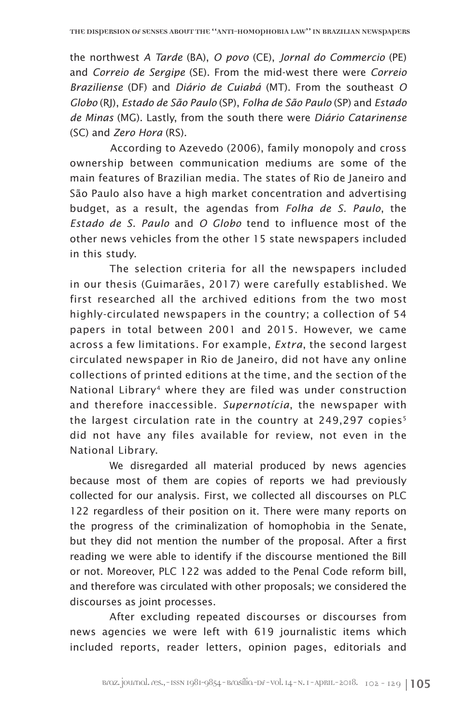the northwest *A Tarde* (BA), *O povo* (CE), *Jornal do Commercio* (PE) and *Correio de Sergipe* (SE). From the mid-west there were *Correio Braziliense* (DF) and *Diário de Cuiabá* (MT). From the southeast *O Globo* (RJ), *Estado de São Paulo* (SP), *Folha de São Paulo* (SP) and *Estado de Minas* (MG). Lastly, from the south there were *Diário Catarinense* (SC) and *Zero Hora* (RS).

According to Azevedo (2006), family monopoly and cross ownership between communication mediums are some of the main features of Brazilian media. The states of Rio de Janeiro and São Paulo also have a high market concentration and advertising budget, as a result, the agendas from *Folha de S. Paulo*, the *Estado de S. Paulo* and *O Globo* tend to influence most of the other news vehicles from the other 15 state newspapers included in this study.

The selection criteria for all the newspapers included in our thesis (Guimarães, 2017) were carefully established. We first researched all the archived editions from the two most highly-circulated newspapers in the country; a collection of 54 papers in total between 2001 and 2015. However, we came across a few limitations. For example, *Extra*, the second largest circulated newspaper in Rio de Janeiro, did not have any online collections of printed editions at the time, and the section of the National Library<sup>4</sup> where they are filed was under construction and therefore inaccessible. *Supernotícia*, the newspaper with the largest circulation rate in the country at  $249,297$  copies<sup>5</sup> did not have any files available for review, not even in the National Library.

We disregarded all material produced by news agencies because most of them are copies of reports we had previously collected for our analysis. First, we collected all discourses on PLC 122 regardless of their position on it. There were many reports on the progress of the criminalization of homophobia in the Senate, but they did not mention the number of the proposal. After a first reading we were able to identify if the discourse mentioned the Bill or not. Moreover, PLC 122 was added to the Penal Code reform bill, and therefore was circulated with other proposals; we considered the discourses as joint processes.

After excluding repeated discourses or discourses from news agencies we were left with 619 journalistic items which included reports, reader letters, opinion pages, editorials and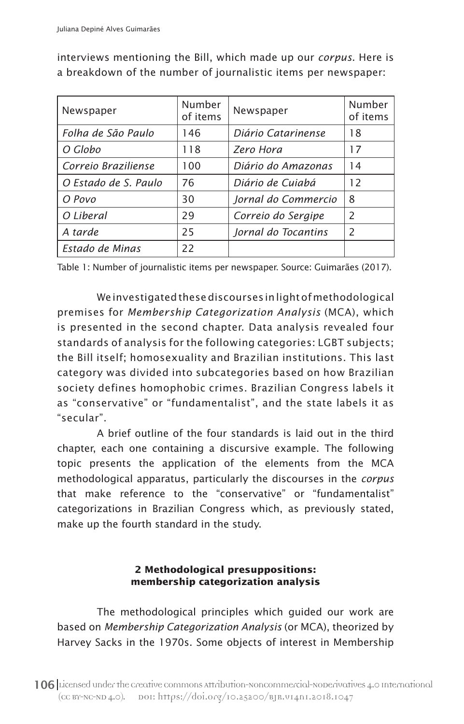| Newspaper            | Number<br>of items | Newspaper           | Number<br>of items |
|----------------------|--------------------|---------------------|--------------------|
| Folha de São Paulo   | 146                | Diário Catarinense  | 18                 |
| O Globo              | 118                | Zero Hora           | 17                 |
| Correio Braziliense  | 100                | Diário do Amazonas  | 14                 |
| O Estado de S. Paulo | 76                 | Diário de Cuiabá    | 12                 |
| O Povo               | 30                 | Jornal do Commercio | 8                  |
| O Liberal            | 29                 | Correio do Sergipe  | $\mathcal{P}$      |
| A tarde              | 25                 | Jornal do Tocantins | $\mathcal{P}$      |
| Estado de Minas      | 22                 |                     |                    |

interviews mentioning the Bill, which made up our *corpus*. Here is a breakdown of the number of journalistic items per newspaper:

Table 1: Number of journalistic items per newspaper. Source: Guimarães (2017).

We investigated these discourses in light of methodological premises for *Membership Categorization Analysis* (MCA), which is presented in the second chapter. Data analysis revealed four standards of analysis for the following categories: LGBT subjects; the Bill itself; homosexuality and Brazilian institutions. This last category was divided into subcategories based on how Brazilian society defines homophobic crimes. Brazilian Congress labels it as "conservative" or "fundamentalist", and the state labels it as "secular".

A brief outline of the four standards is laid out in the third chapter, each one containing a discursive example. The following topic presents the application of the elements from the MCA methodological apparatus, particularly the discourses in the *corpus* that make reference to the "conservative" or "fundamentalist" categorizations in Brazilian Congress which, as previously stated, make up the fourth standard in the study.

# **2 Methodological presuppositions: membership categorization analysis**

The methodological principles which guided our work are based on *Membership Categorization Analysis* (or MCA), theorized by Harvey Sacks in the 1970s. Some objects of interest in Membership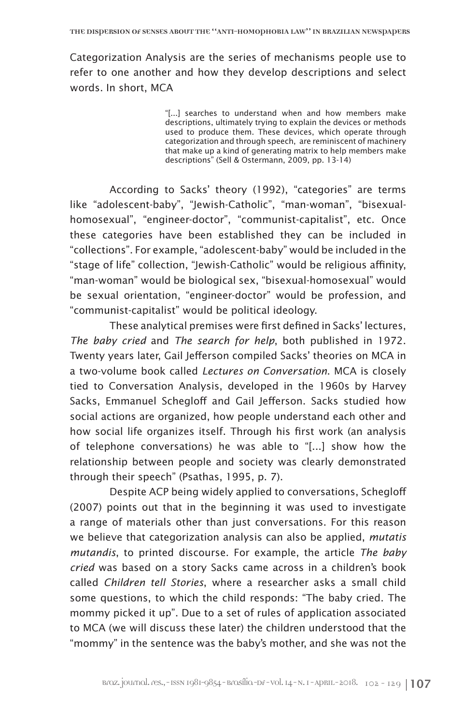Categorization Analysis are the series of mechanisms people use to refer to one another and how they develop descriptions and select words. In short, MCA

> "[...] searches to understand when and how members make descriptions, ultimately trying to explain the devices or methods used to produce them. These devices, which operate through categorization and through speech, are reminiscent of machinery that make up a kind of generating matrix to help members make descriptions" (Sell & Ostermann, 2009, pp. 13-14)

According to Sacks' theory (1992), "categories" are terms like "adolescent-baby", "Jewish-Catholic", "man-woman", "bisexualhomosexual", "engineer-doctor", "communist-capitalist", etc. Once these categories have been established they can be included in "collections". For example, "adolescent-baby" would be included in the "stage of life" collection, "Jewish-Catholic" would be religious affinity, "man-woman" would be biological sex, "bisexual-homosexual" would be sexual orientation, "engineer-doctor" would be profession, and "communist-capitalist" would be political ideology.

These analytical premises were first defined in Sacks' lectures, *The baby cried* and *The search for help*, both published in 1972. Twenty years later, Gail Jefferson compiled Sacks' theories on MCA in a two-volume book called *Lectures on Conversation*. MCA is closely tied to Conversation Analysis, developed in the 1960s by Harvey Sacks, Emmanuel Schegloff and Gail Jefferson. Sacks studied how social actions are organized, how people understand each other and how social life organizes itself. Through his first work (an analysis of telephone conversations) he was able to "[...] show how the relationship between people and society was clearly demonstrated through their speech" (Psathas, 1995, p. 7).

Despite ACP being widely applied to conversations, Schegloff (2007) points out that in the beginning it was used to investigate a range of materials other than just conversations. For this reason we believe that categorization analysis can also be applied, *mutatis mutandis*, to printed discourse. For example, the article *The baby cried* was based on a story Sacks came across in a children's book called *Children tell Stories*, where a researcher asks a small child some questions, to which the child responds: "The baby cried. The mommy picked it up". Due to a set of rules of application associated to MCA (we will discuss these later) the children understood that the "mommy" in the sentence was the baby's mother, and she was not the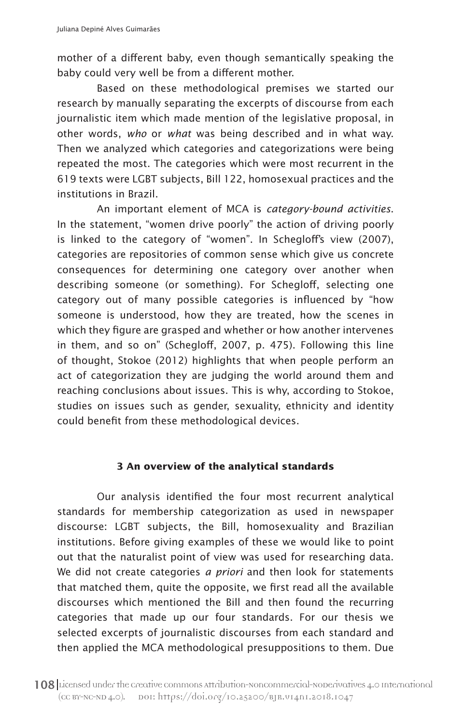mother of a different baby, even though semantically speaking the baby could very well be from a different mother.

Based on these methodological premises we started our research by manually separating the excerpts of discourse from each journalistic item which made mention of the legislative proposal, in other words, *who* or *what* was being described and in what way. Then we analyzed which categories and categorizations were being repeated the most. The categories which were most recurrent in the 619 texts were LGBT subjects, Bill 122, homosexual practices and the institutions in Brazil.

An important element of MCA is *category-bound activities*. In the statement, "women drive poorly" the action of driving poorly is linked to the category of "women". In Schegloff's view (2007), categories are repositories of common sense which give us concrete consequences for determining one category over another when describing someone (or something). For Schegloff, selecting one category out of many possible categories is influenced by "how someone is understood, how they are treated, how the scenes in which they figure are grasped and whether or how another intervenes in them, and so on" (Schegloff, 2007, p. 475). Following this line of thought, Stokoe (2012) highlights that when people perform an act of categorization they are judging the world around them and reaching conclusions about issues. This is why, according to Stokoe, studies on issues such as gender, sexuality, ethnicity and identity could benefit from these methodological devices.

## **3 An overview of the analytical standards**

Our analysis identified the four most recurrent analytical standards for membership categorization as used in newspaper discourse: LGBT subjects, the Bill, homosexuality and Brazilian institutions. Before giving examples of these we would like to point out that the naturalist point of view was used for researching data. We did not create categories *a priori* and then look for statements that matched them, quite the opposite, we first read all the available discourses which mentioned the Bill and then found the recurring categories that made up our four standards. For our thesis we selected excerpts of journalistic discourses from each standard and then applied the MCA methodological presuppositions to them. Due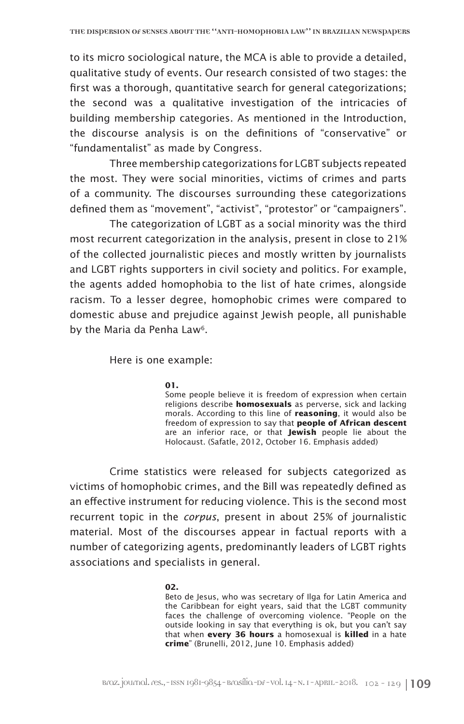to its micro sociological nature, the MCA is able to provide a detailed, qualitative study of events. Our research consisted of two stages: the first was a thorough, quantitative search for general categorizations; the second was a qualitative investigation of the intricacies of building membership categories. As mentioned in the Introduction, the discourse analysis is on the definitions of "conservative" or "fundamentalist" as made by Congress.

Three membership categorizations for LGBT subjects repeated the most. They were social minorities, victims of crimes and parts of a community. The discourses surrounding these categorizations defined them as "movement", "activist", "protestor" or "campaigners".

The categorization of LGBT as a social minority was the third most recurrent categorization in the analysis, present in close to 21% of the collected journalistic pieces and mostly written by journalists and LGBT rights supporters in civil society and politics. For example, the agents added homophobia to the list of hate crimes, alongside racism. To a lesser degree, homophobic crimes were compared to domestic abuse and prejudice against Jewish people, all punishable by the Maria da Penha Law<sup>6</sup>.

Here is one example:

## **01.**

Some people believe it is freedom of expression when certain religions describe **homosexuals** as perverse, sick and lacking morals. According to this line of **reasoning**, it would also be freedom of expression to say that **people of African descent** are an inferior race, or that **Jewish** people lie about the Holocaust. (Safatle, 2012, October 16. Emphasis added)

Crime statistics were released for subjects categorized as victims of homophobic crimes, and the Bill was repeatedly defined as an effective instrument for reducing violence. This is the second most recurrent topic in the *corpus*, present in about 25% of journalistic material. Most of the discourses appear in factual reports with a number of categorizing agents, predominantly leaders of LGBT rights associations and specialists in general.

## **02.**

Beto de Jesus, who was secretary of Ilga for Latin America and the Caribbean for eight years, said that the LGBT community faces the challenge of overcoming violence. "People on the outside looking in say that everything is ok, but you can't say that when **every 36 hours** a homosexual is **killed** in a hate **crime**" (Brunelli, 2012, June 10. Emphasis added)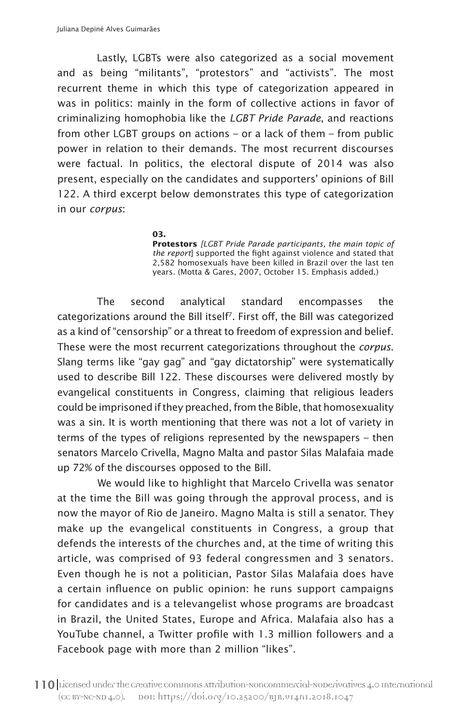Lastly, LGBTs were also categorized as a social movement and as being "militants", "protestors" and "activists". The most recurrent theme in which this type of categorization appeared in was in politics: mainly in the form of collective actions in favor of criminalizing homophobia like the *LGBT Pride Parade*, and reactions from other LGBT groups on actions – or a lack of them – from public power in relation to their demands. The most recurrent discourses were factual. In politics, the electoral dispute of 2014 was also present, especially on the candidates and supporters' opinions of Bill 122. A third excerpt below demonstrates this type of categorization in our *corpus*:

> **03. Protestors** *[LGBT Pride Parade participants, the main topic of the report*] supported the fight against violence and stated that 2,582 homosexuals have been killed in Brazil over the last ten years. (Motta & Gares, 2007, October 15. Emphasis added.)

The second analytical standard encompasses the categorizations around the Bill itself7. First off, the Bill was categorized as a kind of "censorship" or a threat to freedom of expression and belief. These were the most recurrent categorizations throughout the *corpus*. Slang terms like "gay gag" and "gay dictatorship" were systematically used to describe Bill 122. These discourses were delivered mostly by evangelical constituents in Congress, claiming that religious leaders could be imprisoned if they preached, from the Bible, that homosexuality was a sin. It is worth mentioning that there was not a lot of variety in terms of the types of religions represented by the newspapers – then senators Marcelo Crivella, Magno Malta and pastor Silas Malafaia made up 72% of the discourses opposed to the Bill.

We would like to highlight that Marcelo Crivella was senator at the time the Bill was going through the approval process, and is now the mayor of Rio de Janeiro. Magno Malta is still a senator. They make up the evangelical constituents in Congress, a group that defends the interests of the churches and, at the time of writing this article, was comprised of 93 federal congressmen and 3 senators. Even though he is not a politician, Pastor Silas Malafaia does have a certain influence on public opinion: he runs support campaigns for candidates and is a televangelist whose programs are broadcast in Brazil, the United States, Europe and Africa. Malafaia also has a YouTube channel, a Twitter profile with 1.3 million followers and a Facebook page with more than 2 million "likes".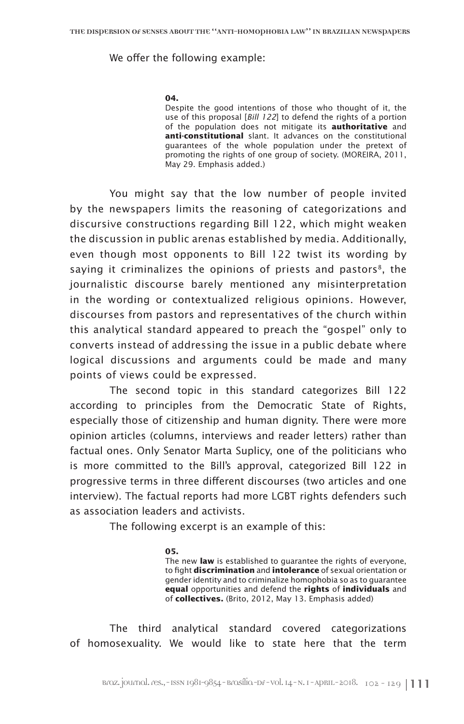## We offer the following example:

## **04.**

Despite the good intentions of those who thought of it, the use of this proposal [*Bill 122*] to defend the rights of a portion of the population does not mitigate its **authoritative** and **anti-constitutional** slant. It advances on the constitutional guarantees of the whole population under the pretext of promoting the rights of one group of society. (MOREIRA, 2011, May 29. Emphasis added.)

You might say that the low number of people invited by the newspapers limits the reasoning of categorizations and discursive constructions regarding Bill 122, which might weaken the discussion in public arenas established by media. Additionally, even though most opponents to Bill 122 twist its wording by saying it criminalizes the opinions of priests and pastors $\delta$ , the journalistic discourse barely mentioned any misinterpretation in the wording or contextualized religious opinions. However, discourses from pastors and representatives of the church within this analytical standard appeared to preach the "gospel" only to converts instead of addressing the issue in a public debate where logical discussions and arguments could be made and many points of views could be expressed.

The second topic in this standard categorizes Bill 122 according to principles from the Democratic State of Rights, especially those of citizenship and human dignity. There were more opinion articles (columns, interviews and reader letters) rather than factual ones. Only Senator Marta Suplicy, one of the politicians who is more committed to the Bill's approval, categorized Bill 122 in progressive terms in three different discourses (two articles and one interview). The factual reports had more LGBT rights defenders such as association leaders and activists.

The following excerpt is an example of this:

## **05.**

The new **law** is established to guarantee the rights of everyone, to fight **discrimination** and **intolerance** of sexual orientation or gender identity and to criminalize homophobia so as to guarantee **equal** opportunities and defend the **rights** of **individuals** and of **collectives.** (Brito, 2012, May 13. Emphasis added)

The third analytical standard covered categorizations of homosexuality. We would like to state here that the term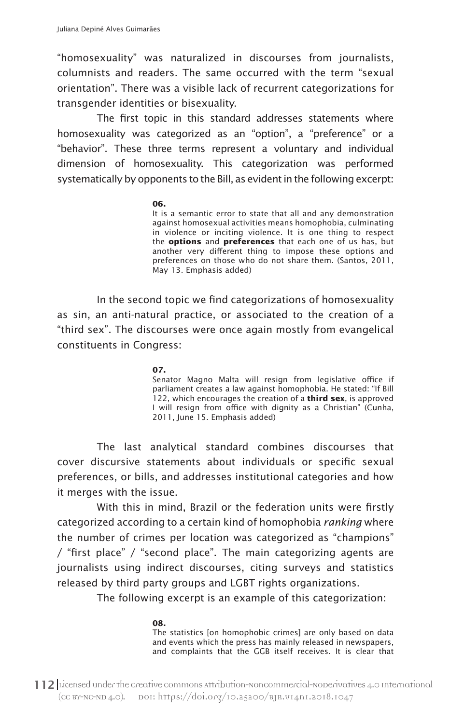"homosexuality" was naturalized in discourses from journalists, columnists and readers. The same occurred with the term "sexual orientation". There was a visible lack of recurrent categorizations for transgender identities or bisexuality.

The first topic in this standard addresses statements where homosexuality was categorized as an "option", a "preference" or a "behavior". These three terms represent a voluntary and individual dimension of homosexuality. This categorization was performed systematically by opponents to the Bill, as evident in the following excerpt:

## **06.**

It is a semantic error to state that all and any demonstration against homosexual activities means homophobia, culminating in violence or inciting violence. It is one thing to respect the **options** and **preferences** that each one of us has, but another very different thing to impose these options and preferences on those who do not share them. (Santos, 2011, May 13. Emphasis added)

In the second topic we find categorizations of homosexuality as sin, an anti-natural practice, or associated to the creation of a "third sex". The discourses were once again mostly from evangelical constituents in Congress:

## **07.**

Senator Magno Malta will resign from legislative office if parliament creates a law against homophobia. He stated: "If Bill 122, which encourages the creation of a **third sex**, is approved I will resign from office with dignity as a Christian" (Cunha, 2011, June 15. Emphasis added)

The last analytical standard combines discourses that cover discursive statements about individuals or specific sexual preferences, or bills, and addresses institutional categories and how it merges with the issue.

With this in mind, Brazil or the federation units were firstly categorized according to a certain kind of homophobia *ranking* where the number of crimes per location was categorized as "champions" / "first place" / "second place". The main categorizing agents are journalists using indirect discourses, citing surveys and statistics released by third party groups and LGBT rights organizations.

The following excerpt is an example of this categorization:

**08.** The statistics [on homophobic crimes] are only based on data and events which the press has mainly released in newspapers, and complaints that the GGB itself receives. It is clear that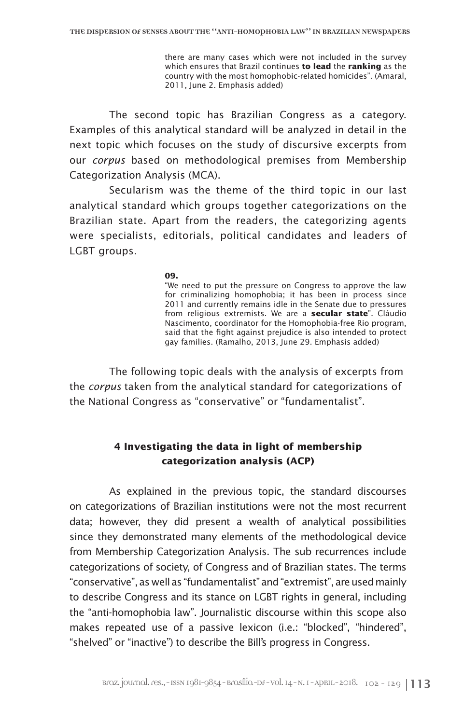there are many cases which were not included in the survey which ensures that Brazil continues **to lead** the **ranking** as the country with the most homophobic-related homicides". (Amaral, 2011, June 2. Emphasis added)

The second topic has Brazilian Congress as a category. Examples of this analytical standard will be analyzed in detail in the next topic which focuses on the study of discursive excerpts from our *corpus* based on methodological premises from Membership Categorization Analysis (MCA).

Secularism was the theme of the third topic in our last analytical standard which groups together categorizations on the Brazilian state. Apart from the readers, the categorizing agents were specialists, editorials, political candidates and leaders of LGBT groups.

**09.**

"We need to put the pressure on Congress to approve the law for criminalizing homophobia; it has been in process since 2011 and currently remains idle in the Senate due to pressures from religious extremists. We are a **secular state**". Cláudio Nascimento, coordinator for the Homophobia-free Rio program, said that the fight against prejudice is also intended to protect gay families. (Ramalho, 2013, June 29. Emphasis added)

The following topic deals with the analysis of excerpts from the *corpus* taken from the analytical standard for categorizations of the National Congress as "conservative" or "fundamentalist".

# **4 Investigating the data in light of membership categorization analysis (ACP)**

As explained in the previous topic, the standard discourses on categorizations of Brazilian institutions were not the most recurrent data; however, they did present a wealth of analytical possibilities since they demonstrated many elements of the methodological device from Membership Categorization Analysis. The sub recurrences include categorizations of society, of Congress and of Brazilian states. The terms "conservative", as well as "fundamentalist" and "extremist", are used mainly to describe Congress and its stance on LGBT rights in general, including the "anti-homophobia law". Journalistic discourse within this scope also makes repeated use of a passive lexicon (i.e.: "blocked", "hindered", "shelved" or "inactive") to describe the Bill's progress in Congress.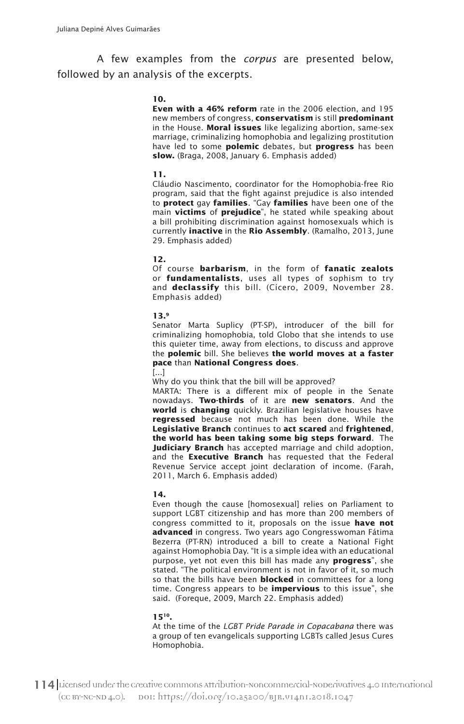A few examples from the *corpus* are presented below, followed by an analysis of the excerpts.

### **10.**

**Even with a 46% reform** rate in the 2006 election, and 195 new members of congress, **conservatism** is still **predominant** in the House. **Moral issues** like legalizing abortion, same-sex marriage, criminalizing homophobia and legalizing prostitution have led to some **polemic** debates, but **progress** has been **slow.** (Braga, 2008, January 6. Emphasis added)

#### **11.**

Cláudio Nascimento, coordinator for the Homophobia-free Rio program, said that the fight against prejudice is also intended to **protect** gay **families**. "Gay **families** have been one of the main **victims** of **prejudice**", he stated while speaking about a bill prohibiting discrimination against homosexuals which is currently **inactive** in the **Rio Assembly**. (Ramalho, 2013, June 29. Emphasis added)

### **12.**

Of course **barbarism**, in the form of **fanatic zealots** or **fundamentalists**, uses all types of sophism to try and **declassify** this bill. (Cícero, 2009, November 28. Emphasis added)

#### **13.9**

Senator Marta Suplicy (PT-SP), introducer of the bill for criminalizing homophobia, told Globo that she intends to use this quieter time, away from elections, to discuss and approve the **polemic** bill. She believes **the world moves at a faster pace** than **National Congress does**.

#### [...]

Why do you think that the bill will be approved?

MARTA: There is a different mix of people in the Senate nowadays. **Two-thirds** of it are **new senators**. And the **world** is **changing** quickly. Brazilian legislative houses have **regressed** because not much has been done. While the **Legislative Branch** continues to **act scared** and **frightened**, **the world has been taking some big steps forward**. The **Judiciary Branch** has accepted marriage and child adoption, and the **Executive Branch** has requested that the Federal Revenue Service accept joint declaration of income. (Farah, 2011, March 6. Emphasis added)

### **14.**

Even though the cause [homosexual] relies on Parliament to support LGBT citizenship and has more than 200 members of congress committed to it, proposals on the issue **have not advanced** in congress. Two years ago Congresswoman Fátima Bezerra (PT-RN) introduced a bill to create a National Fight against Homophobia Day. "It is a simple idea with an educational purpose, yet not even this bill has made any **progress**", she stated. "The political environment is not in favor of it, so much so that the bills have been **blocked** in committees for a long time. Congress appears to be **impervious** to this issue", she said. (Foreque, 2009, March 22. Emphasis added)

#### **1510.**

At the time of the *LGBT Pride Parade in Copacabana* there was a group of ten evangelicals supporting LGBTs called Jesus Cures Homophobia.

114 Licensed under the creative commons attribution-Noncommercial-NoDerivatives 4.0 International (CC BY-NC-ND 4.0). DOI: https://doi.org/10.25200/BJR.v14n1.2018.1047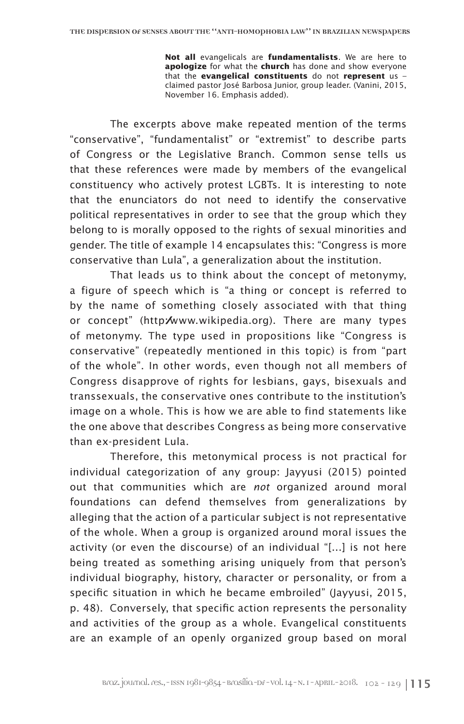**Not all** evangelicals are **fundamentalists**. We are here to **apologize** for what the **church** has done and show everyone that the **evangelical constituents** do not **represent** us – claimed pastor José Barbosa Junior, group leader. (Vanini, 2015, November 16. Emphasis added).

The excerpts above make repeated mention of the terms "conservative", "fundamentalist" or "extremist" to describe parts of Congress or the Legislative Branch. Common sense tells us that these references were made by members of the evangelical constituency who actively protest LGBTs. It is interesting to note that the enunciators do not need to identify the conservative political representatives in order to see that the group which they belong to is morally opposed to the rights of sexual minorities and gender. The title of example 14 encapsulates this: "Congress is more conservative than Lula", a generalization about the institution.

That leads us to think about the concept of metonymy, a figure of speech which is "a thing or concept is referred to by the name of something closely associated with that thing or concept" (http://www.wikipedia.org). There are many types of metonymy. The type used in propositions like "Congress is conservative" (repeatedly mentioned in this topic) is from "part of the whole". In other words, even though not all members of Congress disapprove of rights for lesbians, gays, bisexuals and transsexuals, the conservative ones contribute to the institution's image on a whole. This is how we are able to find statements like the one above that describes Congress as being more conservative than ex-president Lula.

Therefore, this metonymical process is not practical for individual categorization of any group: Jayyusi (2015) pointed out that communities which are *not* organized around moral foundations can defend themselves from generalizations by alleging that the action of a particular subject is not representative of the whole. When a group is organized around moral issues the activity (or even the discourse) of an individual "[...] is not here being treated as something arising uniquely from that person's individual biography, history, character or personality, or from a specific situation in which he became embroiled" (Jayyusi, 2015, p. 48). Conversely, that specific action represents the personality and activities of the group as a whole. Evangelical constituents are an example of an openly organized group based on moral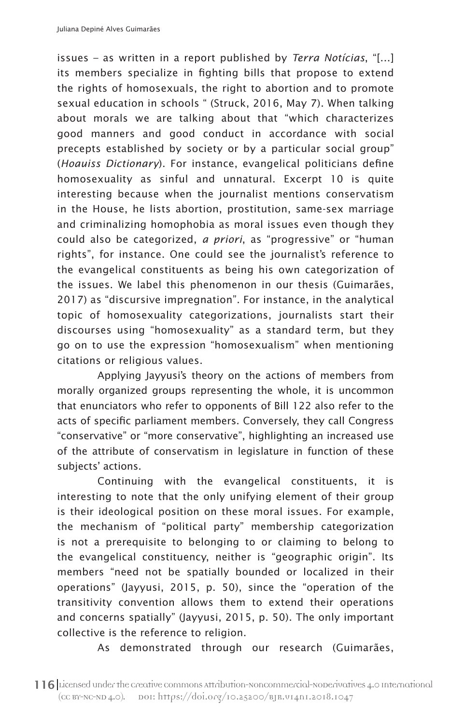issues – as written in a report published by *Terra Notícias*, "[...] its members specialize in fighting bills that propose to extend the rights of homosexuals, the right to abortion and to promote sexual education in schools " (Struck, 2016, May 7). When talking about morals we are talking about that "which characterizes good manners and good conduct in accordance with social precepts established by society or by a particular social group" (*Hoauiss Dictionary*). For instance, evangelical politicians define homosexuality as sinful and unnatural. Excerpt 10 is quite interesting because when the journalist mentions conservatism in the House, he lists abortion, prostitution, same-sex marriage and criminalizing homophobia as moral issues even though they could also be categorized, *a priori*, as "progressive" or "human rights", for instance. One could see the journalist's reference to the evangelical constituents as being his own categorization of the issues. We label this phenomenon in our thesis (Guimarães, 2017) as "discursive impregnation". For instance, in the analytical topic of homosexuality categorizations, journalists start their discourses using "homosexuality" as a standard term, but they go on to use the expression "homosexualism" when mentioning citations or religious values.

Applying Jayyusi's theory on the actions of members from morally organized groups representing the whole, it is uncommon that enunciators who refer to opponents of Bill 122 also refer to the acts of specific parliament members. Conversely, they call Congress "conservative" or "more conservative", highlighting an increased use of the attribute of conservatism in legislature in function of these subjects' actions.

Continuing with the evangelical constituents, it is interesting to note that the only unifying element of their group is their ideological position on these moral issues. For example, the mechanism of "political party" membership categorization is not a prerequisite to belonging to or claiming to belong to the evangelical constituency, neither is "geographic origin". Its members "need not be spatially bounded or localized in their operations" (Jayyusi, 2015, p. 50), since the "operation of the transitivity convention allows them to extend their operations and concerns spatially" (Jayyusi, 2015, p. 50). The only important collective is the reference to religion.

As demonstrated through our research (Guimarães,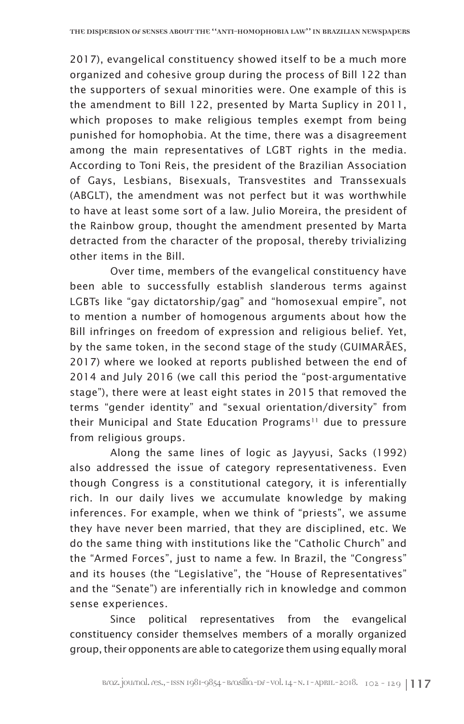2017), evangelical constituency showed itself to be a much more organized and cohesive group during the process of Bill 122 than the supporters of sexual minorities were. One example of this is the amendment to Bill 122, presented by Marta Suplicy in 2011, which proposes to make religious temples exempt from being punished for homophobia. At the time, there was a disagreement among the main representatives of LGBT rights in the media. According to Toni Reis, the president of the Brazilian Association of Gays, Lesbians, Bisexuals, Transvestites and Transsexuals (ABGLT), the amendment was not perfect but it was worthwhile to have at least some sort of a law. Julio Moreira, the president of the Rainbow group, thought the amendment presented by Marta detracted from the character of the proposal, thereby trivializing other items in the Bill.

Over time, members of the evangelical constituency have been able to successfully establish slanderous terms against LGBTs like "gay dictatorship/gag" and "homosexual empire", not to mention a number of homogenous arguments about how the Bill infringes on freedom of expression and religious belief. Yet, by the same token, in the second stage of the study (GUIMARÃES, 2017) where we looked at reports published between the end of 2014 and July 2016 (we call this period the "post-argumentative stage"), there were at least eight states in 2015 that removed the terms "gender identity" and "sexual orientation/diversity" from their Municipal and State Education Programs<sup>11</sup> due to pressure from religious groups.

Along the same lines of logic as Jayyusi, Sacks (1992) also addressed the issue of category representativeness. Even though Congress is a constitutional category, it is inferentially rich. In our daily lives we accumulate knowledge by making inferences. For example, when we think of "priests", we assume they have never been married, that they are disciplined, etc. We do the same thing with institutions like the "Catholic Church" and the "Armed Forces", just to name a few. In Brazil, the "Congress" and its houses (the "Legislative", the "House of Representatives" and the "Senate") are inferentially rich in knowledge and common sense experiences.

Since political representatives from the evangelical constituency consider themselves members of a morally organized group, their opponents are able to categorize them using equally moral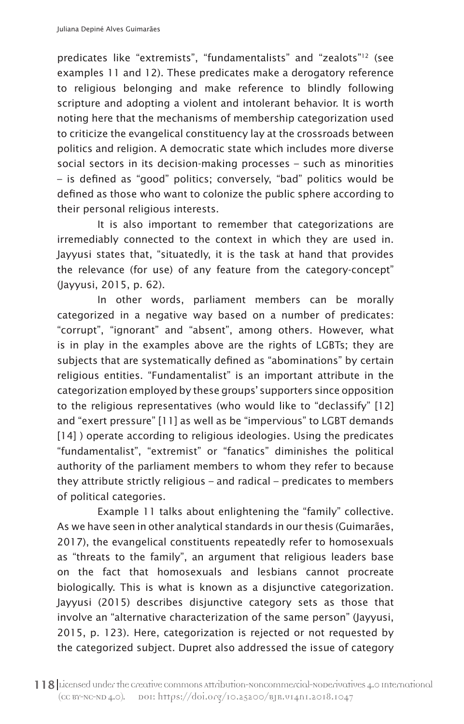predicates like "extremists", "fundamentalists" and "zealots"12 (see examples 11 and 12). These predicates make a derogatory reference to religious belonging and make reference to blindly following scripture and adopting a violent and intolerant behavior. It is worth noting here that the mechanisms of membership categorization used to criticize the evangelical constituency lay at the crossroads between politics and religion. A democratic state which includes more diverse social sectors in its decision-making processes – such as minorities – is defined as "good" politics; conversely, "bad" politics would be defined as those who want to colonize the public sphere according to their personal religious interests.

It is also important to remember that categorizations are irremediably connected to the context in which they are used in. Jayyusi states that, "situatedly, it is the task at hand that provides the relevance (for use) of any feature from the category-concept" (Jayyusi, 2015, p. 62).

In other words, parliament members can be morally categorized in a negative way based on a number of predicates: "corrupt", "ignorant" and "absent", among others. However, what is in play in the examples above are the rights of LGBTs; they are subjects that are systematically defined as "abominations" by certain religious entities. "Fundamentalist" is an important attribute in the categorization employed by these groups' supporters since opposition to the religious representatives (who would like to "declassify" [12] and "exert pressure" [11] as well as be "impervious" to LGBT demands [14] ) operate according to religious ideologies. Using the predicates "fundamentalist", "extremist" or "fanatics" diminishes the political authority of the parliament members to whom they refer to because they attribute strictly religious – and radical – predicates to members of political categories.

Example 11 talks about enlightening the "family" collective. As we have seen in other analytical standards in our thesis (Guimarães, 2017), the evangelical constituents repeatedly refer to homosexuals as "threats to the family", an argument that religious leaders base on the fact that homosexuals and lesbians cannot procreate biologically. This is what is known as a disjunctive categorization. Jayyusi (2015) describes disjunctive category sets as those that involve an "alternative characterization of the same person" (Jayyusi, 2015, p. 123). Here, categorization is rejected or not requested by the categorized subject. Dupret also addressed the issue of category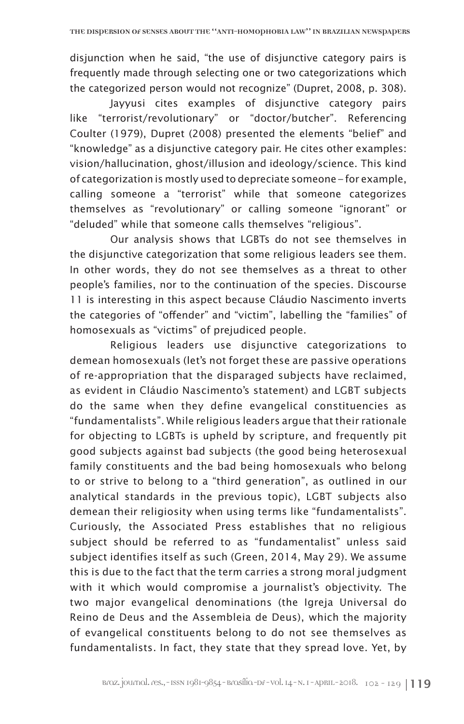disjunction when he said, "the use of disjunctive category pairs is frequently made through selecting one or two categorizations which the categorized person would not recognize" (Dupret, 2008, p. 308).

Jayyusi cites examples of disjunctive category pairs like "terrorist/revolutionary" or "doctor/butcher". Referencing Coulter (1979), Dupret (2008) presented the elements "belief" and "knowledge" as a disjunctive category pair. He cites other examples: vision/hallucination, ghost/illusion and ideology/science. This kind of categorization is mostly used to depreciate someone – for example, calling someone a "terrorist" while that someone categorizes themselves as "revolutionary" or calling someone "ignorant" or "deluded" while that someone calls themselves "religious".

Our analysis shows that LGBTs do not see themselves in the disjunctive categorization that some religious leaders see them. In other words, they do not see themselves as a threat to other people's families, nor to the continuation of the species. Discourse 11 is interesting in this aspect because Cláudio Nascimento inverts the categories of "offender" and "victim", labelling the "families" of homosexuals as "victims" of prejudiced people.

Religious leaders use disjunctive categorizations to demean homosexuals (let's not forget these are passive operations of re-appropriation that the disparaged subjects have reclaimed, as evident in Cláudio Nascimento's statement) and LGBT subjects do the same when they define evangelical constituencies as "fundamentalists". While religious leaders argue that their rationale for objecting to LGBTs is upheld by scripture, and frequently pit good subjects against bad subjects (the good being heterosexual family constituents and the bad being homosexuals who belong to or strive to belong to a "third generation", as outlined in our analytical standards in the previous topic), LGBT subjects also demean their religiosity when using terms like "fundamentalists". Curiously, the Associated Press establishes that no religious subject should be referred to as "fundamentalist" unless said subject identifies itself as such (Green, 2014, May 29). We assume this is due to the fact that the term carries a strong moral judgment with it which would compromise a journalist's objectivity. The two major evangelical denominations (the Igreja Universal do Reino de Deus and the Assembleia de Deus), which the majority of evangelical constituents belong to do not see themselves as fundamentalists. In fact, they state that they spread love. Yet, by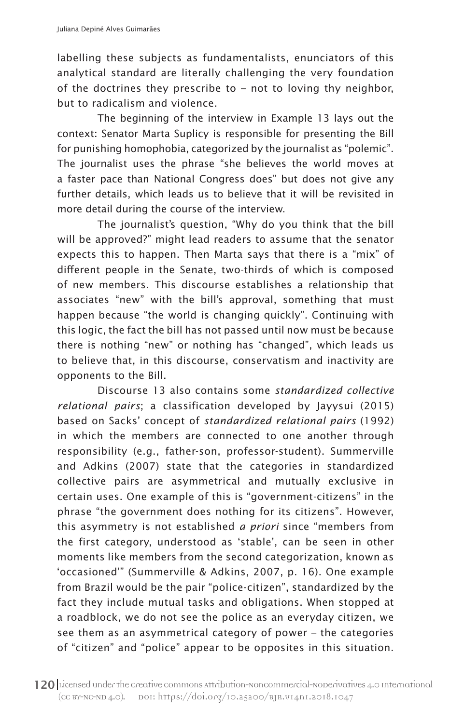labelling these subjects as fundamentalists, enunciators of this analytical standard are literally challenging the very foundation of the doctrines they prescribe to – not to loving thy neighbor, but to radicalism and violence.

The beginning of the interview in Example 13 lays out the context: Senator Marta Suplicy is responsible for presenting the Bill for punishing homophobia, categorized by the journalist as "polemic". The journalist uses the phrase "she believes the world moves at a faster pace than National Congress does" but does not give any further details, which leads us to believe that it will be revisited in more detail during the course of the interview.

The journalist's question, "Why do you think that the bill will be approved?" might lead readers to assume that the senator expects this to happen. Then Marta says that there is a "mix" of different people in the Senate, two-thirds of which is composed of new members. This discourse establishes a relationship that associates "new" with the bill's approval, something that must happen because "the world is changing quickly". Continuing with this logic, the fact the bill has not passed until now must be because there is nothing "new" or nothing has "changed", which leads us to believe that, in this discourse, conservatism and inactivity are opponents to the Bill.

Discourse 13 also contains some *standardized collective relational pairs*; a classification developed by Jayysui (2015) based on Sacks' concept of *standardized relational pairs* (1992) in which the members are connected to one another through responsibility (e.g., father-son, professor-student). Summerville and Adkins (2007) state that the categories in standardized collective pairs are asymmetrical and mutually exclusive in certain uses. One example of this is "government-citizens" in the phrase "the government does nothing for its citizens". However, this asymmetry is not established *a priori* since "members from the first category, understood as 'stable', can be seen in other moments like members from the second categorization, known as 'occasioned'" (Summerville & Adkins, 2007, p. 16). One example from Brazil would be the pair "police-citizen", standardized by the fact they include mutual tasks and obligations. When stopped at a roadblock, we do not see the police as an everyday citizen, we see them as an asymmetrical category of power – the categories of "citizen" and "police" appear to be opposites in this situation.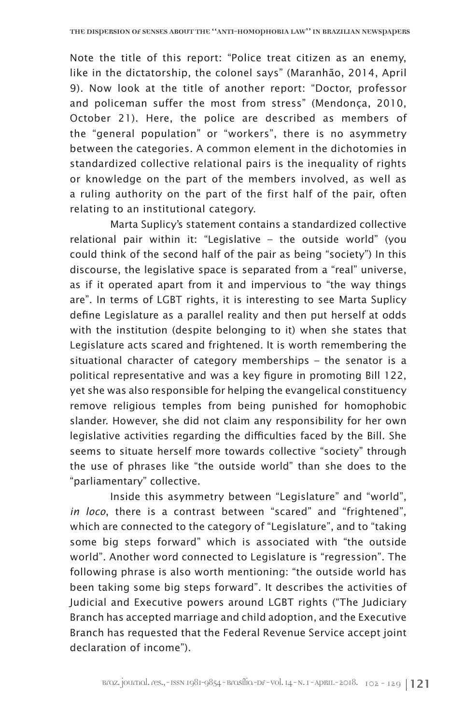Note the title of this report: "Police treat citizen as an enemy, like in the dictatorship, the colonel says" (Maranhão, 2014, April 9). Now look at the title of another report: "Doctor, professor and policeman suffer the most from stress" (Mendonça, 2010, October 21). Here, the police are described as members of the "general population" or "workers", there is no asymmetry between the categories. A common element in the dichotomies in standardized collective relational pairs is the inequality of rights or knowledge on the part of the members involved, as well as a ruling authority on the part of the first half of the pair, often relating to an institutional category.

Marta Suplicy's statement contains a standardized collective relational pair within it: "Legislative – the outside world" (you could think of the second half of the pair as being "society") In this discourse, the legislative space is separated from a "real" universe, as if it operated apart from it and impervious to "the way things are". In terms of LGBT rights, it is interesting to see Marta Suplicy define Legislature as a parallel reality and then put herself at odds with the institution (despite belonging to it) when she states that Legislature acts scared and frightened. It is worth remembering the situational character of category memberships – the senator is a political representative and was a key figure in promoting Bill 122, yet she was also responsible for helping the evangelical constituency remove religious temples from being punished for homophobic slander. However, she did not claim any responsibility for her own legislative activities regarding the difficulties faced by the Bill. She seems to situate herself more towards collective "society" through the use of phrases like "the outside world" than she does to the "parliamentary" collective.

Inside this asymmetry between "Legislature" and "world", *in loco*, there is a contrast between "scared" and "frightened", which are connected to the category of "Legislature", and to "taking some big steps forward" which is associated with "the outside world". Another word connected to Legislature is "regression". The following phrase is also worth mentioning: "the outside world has been taking some big steps forward". It describes the activities of Judicial and Executive powers around LGBT rights ("The Judiciary Branch has accepted marriage and child adoption, and the Executive Branch has requested that the Federal Revenue Service accept joint declaration of income").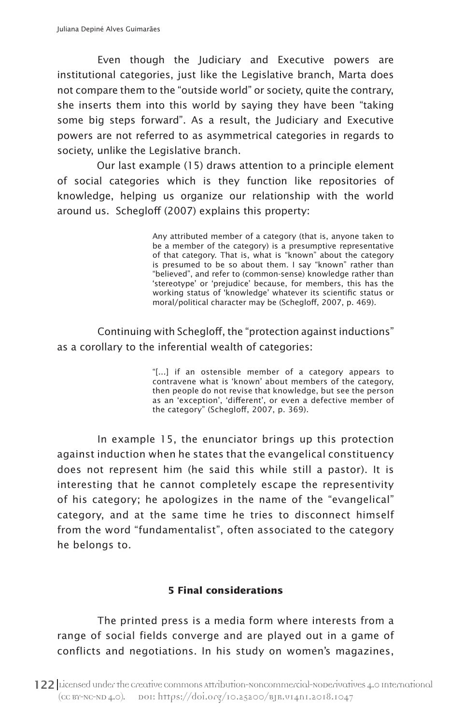Even though the Judiciary and Executive powers are institutional categories, just like the Legislative branch, Marta does not compare them to the "outside world" or society, quite the contrary, she inserts them into this world by saying they have been "taking some big steps forward". As a result, the Judiciary and Executive powers are not referred to as asymmetrical categories in regards to society, unlike the Legislative branch.

Our last example (15) draws attention to a principle element of social categories which is they function like repositories of knowledge, helping us organize our relationship with the world around us. Schegloff (2007) explains this property:

> Any attributed member of a category (that is, anyone taken to be a member of the category) is a presumptive representative of that category. That is, what is "known" about the category is presumed to be so about them. I say "known" rather than "believed", and refer to (common-sense) knowledge rather than 'stereotype' or 'prejudice' because, for members, this has the working status of 'knowledge' whatever its scientific status or moral/political character may be (Schegloff, 2007, p. 469).

Continuing with Schegloff, the "protection against inductions" as a corollary to the inferential wealth of categories:

> "[...] if an ostensible member of a category appears to contravene what is 'known' about members of the category, then people do not revise that knowledge, but see the person as an 'exception', 'different', or even a defective member of the category" (Schegloff, 2007, p. 369).

In example 15, the enunciator brings up this protection against induction when he states that the evangelical constituency does not represent him (he said this while still a pastor). It is interesting that he cannot completely escape the representivity of his category; he apologizes in the name of the "evangelical" category, and at the same time he tries to disconnect himself from the word "fundamentalist", often associated to the category he belongs to.

## **5 Final considerations**

The printed press is a media form where interests from a range of social fields converge and are played out in a game of conflicts and negotiations. In his study on women's magazines,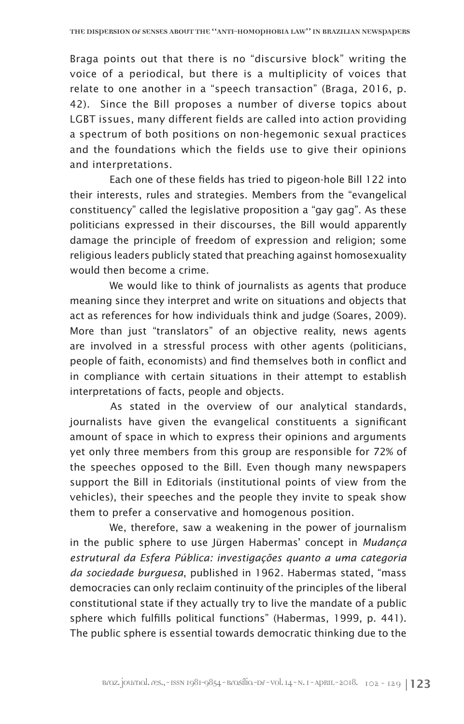Braga points out that there is no "discursive block" writing the voice of a periodical, but there is a multiplicity of voices that relate to one another in a "speech transaction" (Braga, 2016, p. 42). Since the Bill proposes a number of diverse topics about LGBT issues, many different fields are called into action providing a spectrum of both positions on non-hegemonic sexual practices and the foundations which the fields use to give their opinions and interpretations.

Each one of these fields has tried to pigeon-hole Bill 122 into their interests, rules and strategies. Members from the "evangelical constituency" called the legislative proposition a "gay gag". As these politicians expressed in their discourses, the Bill would apparently damage the principle of freedom of expression and religion; some religious leaders publicly stated that preaching against homosexuality would then become a crime.

We would like to think of journalists as agents that produce meaning since they interpret and write on situations and objects that act as references for how individuals think and judge (Soares, 2009). More than just "translators" of an objective reality, news agents are involved in a stressful process with other agents (politicians, people of faith, economists) and find themselves both in conflict and in compliance with certain situations in their attempt to establish interpretations of facts, people and objects.

As stated in the overview of our analytical standards, journalists have given the evangelical constituents a significant amount of space in which to express their opinions and arguments yet only three members from this group are responsible for 72% of the speeches opposed to the Bill. Even though many newspapers support the Bill in Editorials (institutional points of view from the vehicles), their speeches and the people they invite to speak show them to prefer a conservative and homogenous position.

We, therefore, saw a weakening in the power of journalism in the public sphere to use Jürgen Habermas' concept in *Mudança estrutural da Esfera Pública: investigações quanto a uma categoria da sociedade burguesa*, published in 1962. Habermas stated, "mass democracies can only reclaim continuity of the principles of the liberal constitutional state if they actually try to live the mandate of a public sphere which fulfills political functions" (Habermas, 1999, p. 441). The public sphere is essential towards democratic thinking due to the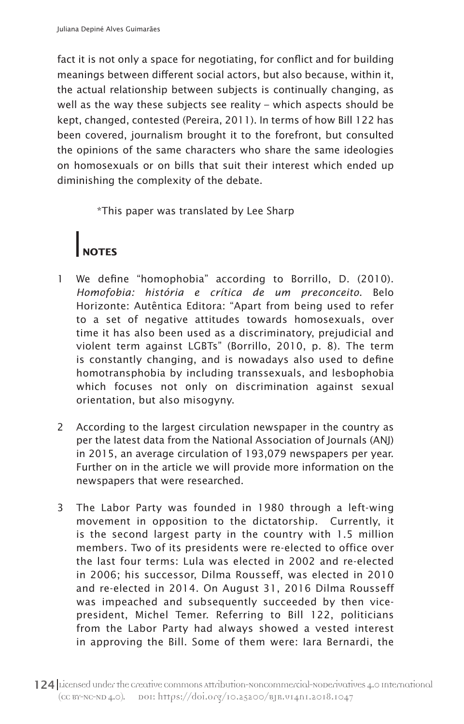fact it is not only a space for negotiating, for conflict and for building meanings between different social actors, but also because, within it, the actual relationship between subjects is continually changing, as well as the way these subjects see reality – which aspects should be kept, changed, contested (Pereira, 2011). In terms of how Bill 122 has been covered, journalism brought it to the forefront, but consulted the opinions of the same characters who share the same ideologies on homosexuals or on bills that suit their interest which ended up diminishing the complexity of the debate.

\*This paper was translated by Lee Sharp

# **NOTES**

- 1 We define "homophobia" according to Borrillo, D. (2010). *Homofobia: história e crítica de um preconceito*. Belo Horizonte: Autêntica Editora: "Apart from being used to refer to a set of negative attitudes towards homosexuals, over time it has also been used as a discriminatory, prejudicial and violent term against LGBTs" (Borrillo, 2010, p. 8). The term is constantly changing, and is nowadays also used to define homotransphobia by including transsexuals, and lesbophobia which focuses not only on discrimination against sexual orientation, but also misogyny.
- 2 According to the largest circulation newspaper in the country as per the latest data from the National Association of Journals (ANJ) in 2015, an average circulation of 193,079 newspapers per year. Further on in the article we will provide more information on the newspapers that were researched.
- 3 The Labor Party was founded in 1980 through a left-wing movement in opposition to the dictatorship. Currently, it is the second largest party in the country with 1.5 million members. Two of its presidents were re-elected to office over the last four terms: Lula was elected in 2002 and re-elected in 2006; his successor, Dilma Rousseff, was elected in 2010 and re-elected in 2014. On August 31, 2016 Dilma Rousseff was impeached and subsequently succeeded by then vicepresident, Michel Temer. Referring to Bill 122, politicians from the Labor Party had always showed a vested interest in approving the Bill. Some of them were: Iara Bernardi, the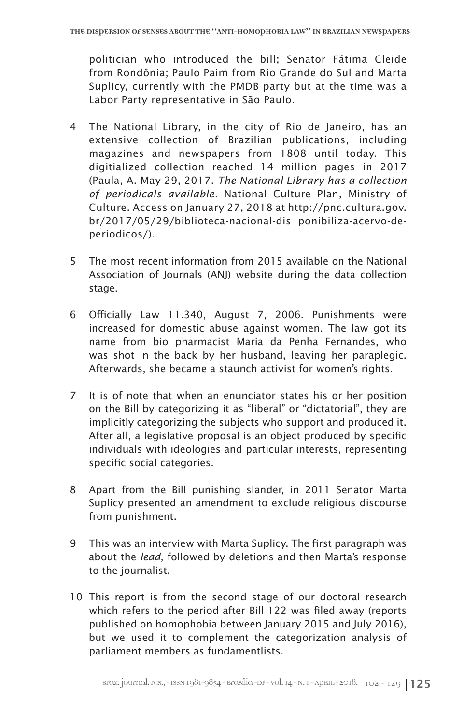politician who introduced the bill; Senator Fátima Cleide from Rondônia; Paulo Paim from Rio Grande do Sul and Marta Suplicy, currently with the PMDB party but at the time was a Labor Party representative in São Paulo.

- 4 The National Library, in the city of Rio de Janeiro, has an extensive collection of Brazilian publications, including magazines and newspapers from 1808 until today. This digitialized collection reached 14 million pages in 2017 (Paula, A. May 29, 2017. *The National Library has a collection of periodicals available.* National Culture Plan, Ministry of Culture. Access on January 27, 2018 at http://pnc.cultura.gov. br/2017/05/29/biblioteca-nacional-dis ponibiliza-acervo-deperiodicos/).
- 5 The most recent information from 2015 available on the National Association of Journals (ANJ) website during the data collection stage.
- 6 Officially Law 11.340, August 7, 2006. Punishments were increased for domestic abuse against women. The law got its name from bio pharmacist Maria da Penha Fernandes, who was shot in the back by her husband, leaving her paraplegic. Afterwards, she became a staunch activist for women's rights.
- 7 It is of note that when an enunciator states his or her position on the Bill by categorizing it as "liberal" or "dictatorial", they are implicitly categorizing the subjects who support and produced it. After all, a legislative proposal is an object produced by specific individuals with ideologies and particular interests, representing specific social categories.
- 8 Apart from the Bill punishing slander, in 2011 Senator Marta Suplicy presented an amendment to exclude religious discourse from punishment.
- 9 This was an interview with Marta Suplicy. The first paragraph was about the *lead*, followed by deletions and then Marta's response to the journalist.
- 10 This report is from the second stage of our doctoral research which refers to the period after Bill 122 was filed away (reports published on homophobia between January 2015 and July 2016), but we used it to complement the categorization analysis of parliament members as fundamentlists.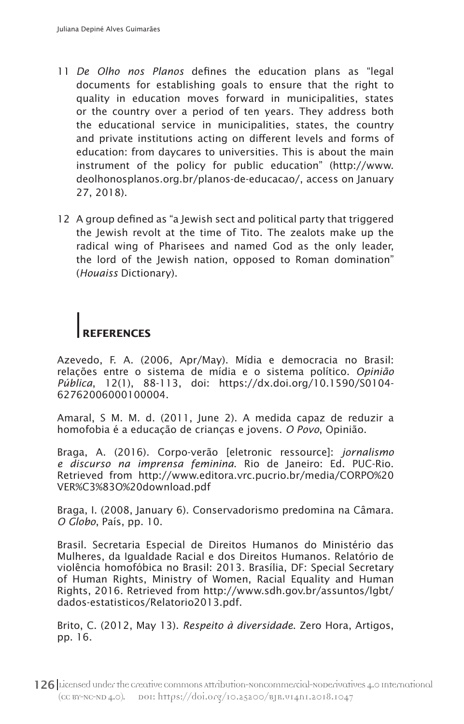- 11 *De Olho nos Planos* defines the education plans as "legal documents for establishing goals to ensure that the right to quality in education moves forward in municipalities, states or the country over a period of ten years. They address both the educational service in municipalities, states, the country and private institutions acting on different levels and forms of education: from daycares to universities. This is about the main instrument of the policy for public education" (http://www. deolhonosplanos.org.br/planos-de-educacao/, access on January 27, 2018).
- 12 A group defined as "a Jewish sect and political party that triggered the Jewish revolt at the time of Tito. The zealots make up the radical wing of Pharisees and named God as the only leader, the lord of the Jewish nation, opposed to Roman domination" (*Houaiss* Dictionary).

# **REFERENCES**

Azevedo, F. A. (2006, Apr/May). Mídia e democracia no Brasil: relações entre o sistema de mídia e o sistema político. *Opinião Pública*, 12(1), 88-113, doi: https://dx.doi.org/10.1590/S0104- 62762006000100004.

Amaral, S M. M. d. (2011, June 2). A medida capaz de reduzir a homofobia é a educação de crianças e jovens. *O Povo*, Opinião.

Braga, A. (2016). Corpo-verão [eletronic ressource]: *jornalismo e discurso na imprensa feminina*. Rio de Janeiro: Ed. PUC-Rio. Retrieved from http://www.editora.vrc.pucrio.br/media/CORPO%20 VER%C3%83O%20download.pdf

Braga, I. (2008, January 6). Conservadorismo predomina na Câmara. *O Globo*, País, pp. 10.

Brasil. Secretaria Especial de Direitos Humanos do Ministério das Mulheres, da Igualdade Racial e dos Direitos Humanos. Relatório de violência homofóbica no Brasil: 2013. Brasília, DF: Special Secretary of Human Rights, Ministry of Women, Racial Equality and Human Rights, 2016. Retrieved from http://www.sdh.gov.br/assuntos/lgbt/ dados-estatisticos/Relatorio2013.pdf.

Brito, C. (2012, May 13). *Respeito à diversidade*. Zero Hora, Artigos, pp. 16.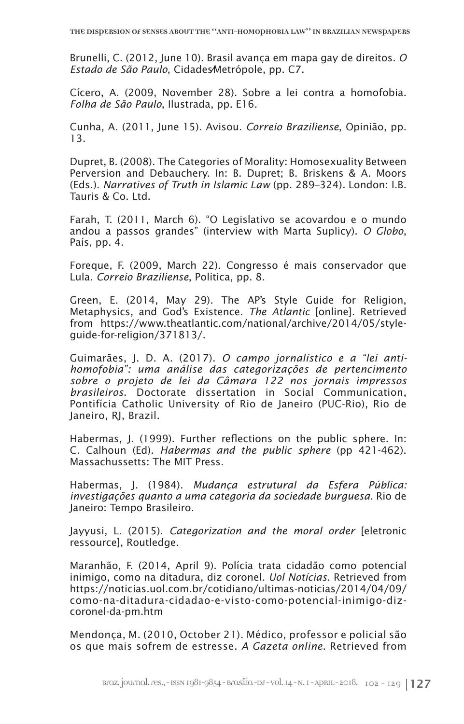Brunelli, C. (2012, June 10). Brasil avança em mapa gay de direitos. *O Estado de São Paulo*, Cidades⁄Metrópole, pp. C7.

Cícero, A. (2009, November 28). Sobre a lei contra a homofobia. *Folha de São Paulo*, Ilustrada, pp. E16.

Cunha, A. (2011, June 15). Avisou. *Correio Braziliense*, Opinião, pp. 13.

Dupret, B. (2008). The Categories of Morality: Homosexuality Between Perversion and Debauchery. In: B. Dupret; B. Briskens & A. Moors (Eds.). *Narratives of Truth in Islamic Law* (pp. 289–324)*.* London: I.B. Tauris & Co. Ltd.

Farah, T. (2011, March 6). "O Legislativo se acovardou e o mundo andou a passos grandes" (interview with Marta Suplicy). *O Globo*, País, pp. 4.

Foreque, F. (2009, March 22). Congresso é mais conservador que Lula. *Correio Braziliense*, Política, pp. 8.

Green, E. (2014, May 29). The AP's Style Guide for Religion, Metaphysics, and God's Existence. *The Atlantic* [online]. Retrieved from https://www.theatlantic.com/national/archive/2014/05/styleguide-for-religion/371813/.

Guimarães, J. D. A. (2017). *O campo jornalístico e a "lei antihomofobia": uma análise das categorizações de pertencimento sobre o projeto de lei da Câmara 122 nos jornais impressos brasileiros*. Doctorate dissertation in Social Communication, Pontifícia Catholic University of Rio de Janeiro (PUC-Rio), Rio de Janeiro, RJ, Brazil.

Habermas, J. (1999). Further reflections on the public sphere. In: C. Calhoun (Ed). *Habermas and the public sphere* (pp 421-462). Massachussetts: The MIT Press.

Habermas, J. (1984). *Mudança estrutural da Esfera Pública: investigações quanto a uma categoria da sociedade burguesa*. Rio de Janeiro: Tempo Brasileiro.

Jayyusi, L. (2015). *Categorization and the moral order* [eletronic ressource], Routledge.

Maranhão, F. (2014, April 9). Polícia trata cidadão como potencial inimigo, como na ditadura, diz coronel. *Uol Notícias*. Retrieved from https://noticias.uol.com.br/cotidiano/ultimas-noticias/2014/04/09/ como-na-ditadura-cidadao-e-visto-como-potencial-inimigo-dizcoronel-da-pm.htm

Mendonça, M. (2010, October 21). Médico, professor e policial são os que mais sofrem de estresse. *A Gazeta online*. Retrieved from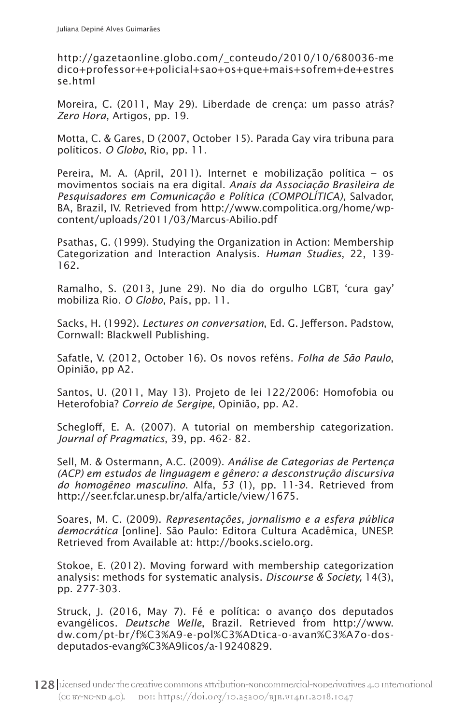http://gazetaonline.globo.com/\_conteudo/2010/10/680036-me dico+professor+e+policial+sao+os+que+mais+sofrem+de+estres se.html

Moreira, C. (2011, May 29). Liberdade de crença: um passo atrás? *Zero Hora*, Artigos, pp. 19.

Motta, C. & Gares, D (2007, October 15). Parada Gay vira tribuna para políticos. *O Globo*, Rio, pp. 11.

Pereira, M. A. (April, 2011). Internet e mobilização política – os movimentos sociais na era digital. *Anais da Associação Brasileira de Pesquisadores em Comunicação e Política (COMPOLÍTICA),* Salvador, BA, Brazil, IV. Retrieved from http://www.compolitica.org/home/wpcontent/uploads/2011/03/Marcus-Abilio.pdf

Psathas, G. (1999). Studying the Organization in Action: Membership Categorization and Interaction Analysis. *Human Studies*, 22, 139- 162.

Ramalho, S. (2013, June 29). No dia do orgulho LGBT, 'cura gay' mobiliza Rio. *O Globo*, País, pp. 11.

Sacks, H. (1992). *Lectures on conversation*, Ed. G. Jefferson. Padstow, Cornwall: Blackwell Publishing.

Safatle, V. (2012, October 16). Os novos reféns. *Folha de São Paulo*, Opinião, pp A2.

Santos, U. (2011, May 13). Projeto de lei 122/2006: Homofobia ou Heterofobia? *Correio de Sergipe*, Opinião, pp. A2.

Schegloff, E. A. (2007). A tutorial on membership categorization. *Journal of Pragmatics*, 39, pp. 462- 82.

Sell, M. & Ostermann, A.C. (2009). *Análise de Categorias de Pertença (ACP) em estudos de linguagem e gênero: a desconstrução discursiva do homogêneo masculino*. Alfa, *53* (1), pp. 11-34. Retrieved from http://seer.fclar.unesp.br/alfa/article/view/1675.

Soares, M. C. (2009). *Representações, jornalismo e a esfera pública democrática* [online]. São Paulo: Editora Cultura Acadêmica, UNESP. Retrieved from Available at: http://books.scielo.org.

Stokoe, E. (2012). Moving forward with membership categorization analysis: methods for systematic analysis. *Discourse & Society,* 14(3), pp. 277-303.

Struck, J. (2016, May 7). Fé e política: o avanço dos deputados evangélicos. *Deutsche Welle*, Brazil. Retrieved from http://www. dw.com/pt-br/f%C3%A9-e-pol%C3%ADtica-o-avan%C3%A7o-dosdeputados-evang%C3%A9licos/a-19240829.